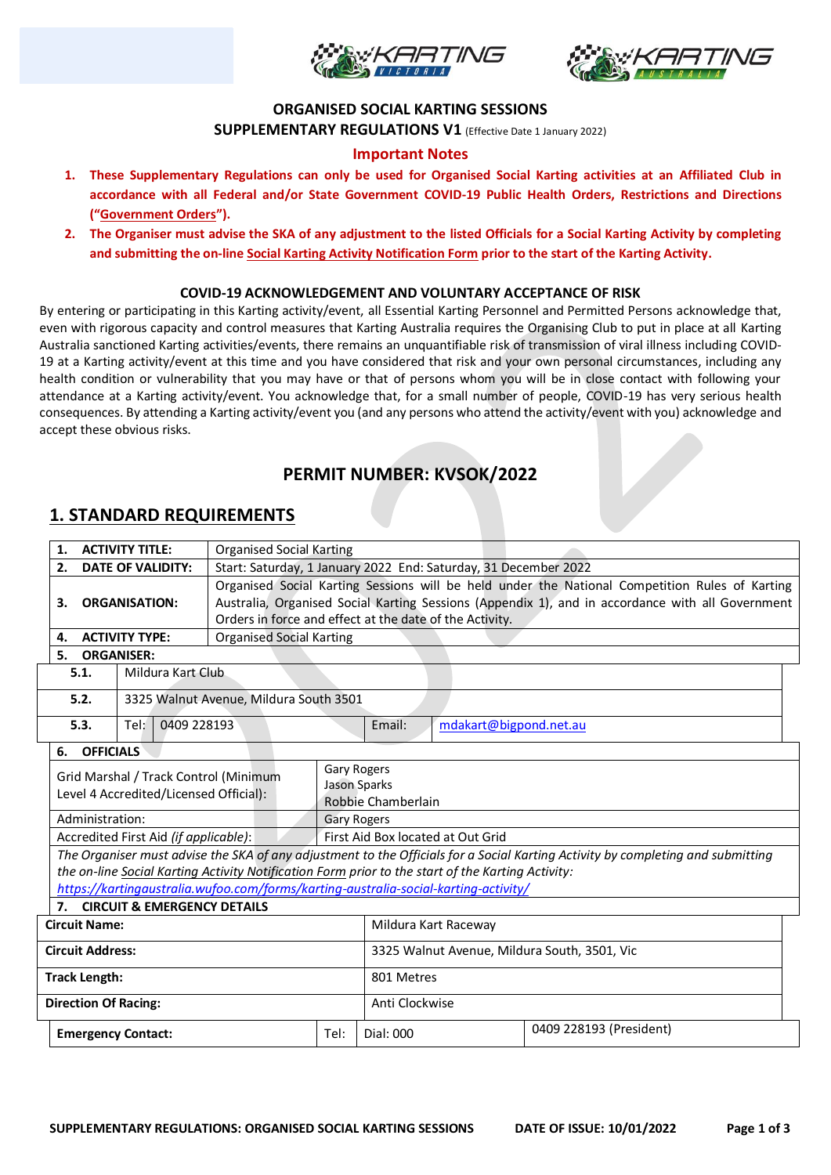



### **ORGANISED SOCIAL KARTING SESSIONS**

**SUPPLEMENTARY REGULATIONS V1** (Effective Date 1 January 2022)

### **Important Notes**

- **1. These Supplementary Regulations can only be used for Organised Social Karting activities at an Affiliated Club in accordance with all Federal and/or State Government COVID-19 Public Health Orders, Restrictions and Directions ("Government Orders").**
- **2. The Organiser must advise the SKA of any adjustment to the listed Officials for a Social Karting Activity by completing and submitting the on-line Social Karting Activity Notification Form prior to the start of the Karting Activity.**

#### **COVID-19 ACKNOWLEDGEMENT AND VOLUNTARY ACCEPTANCE OF RISK**

By entering or participating in this Karting activity/event, all Essential Karting Personnel and Permitted Persons acknowledge that, even with rigorous capacity and control measures that Karting Australia requires the Organising Club to put in place at all Karting Australia sanctioned Karting activities/events, there remains an unquantifiable risk of transmission of viral illness including COVID-19 at a Karting activity/event at this time and you have considered that risk and your own personal circumstances, including any health condition or vulnerability that you may have or that of persons whom you will be in close contact with following your attendance at a Karting activity/event. You acknowledge that, for a small number of people, COVID-19 has very serious health consequences. By attending a Karting activity/event you (and any persons who attend the activity/event with you) acknowledge and accept these obvious risks.

## **PERMIT NUMBER: KVSOK/2022**

### **1. STANDARD REQUIREMENTS**

| <b>ACTIVITY TITLE:</b><br>1.           |                                                                                     |      | <b>Organised Social Karting</b>                                 |                                                                                                  |                                              |                     |                                   |                                                                                                   |                                                                                                                                 |  |
|----------------------------------------|-------------------------------------------------------------------------------------|------|-----------------------------------------------------------------|--------------------------------------------------------------------------------------------------|----------------------------------------------|---------------------|-----------------------------------|---------------------------------------------------------------------------------------------------|---------------------------------------------------------------------------------------------------------------------------------|--|
| <b>DATE OF VALIDITY:</b><br>2.         |                                                                                     |      | Start: Saturday, 1 January 2022 End: Saturday, 31 December 2022 |                                                                                                  |                                              |                     |                                   |                                                                                                   |                                                                                                                                 |  |
|                                        |                                                                                     |      |                                                                 | Organised Social Karting Sessions will be held under the National Competition Rules of Karting   |                                              |                     |                                   |                                                                                                   |                                                                                                                                 |  |
|                                        | <b>ORGANISATION:</b><br>З.                                                          |      |                                                                 | Australia, Organised Social Karting Sessions (Appendix 1), and in accordance with all Government |                                              |                     |                                   |                                                                                                   |                                                                                                                                 |  |
|                                        |                                                                                     |      |                                                                 | Orders in force and effect at the date of the Activity.                                          |                                              |                     |                                   |                                                                                                   |                                                                                                                                 |  |
|                                        | <b>ACTIVITY TYPE:</b><br>4.                                                         |      |                                                                 | <b>Organised Social Karting</b>                                                                  |                                              |                     |                                   |                                                                                                   |                                                                                                                                 |  |
|                                        | <b>ORGANISER:</b><br>5.                                                             |      |                                                                 |                                                                                                  |                                              |                     |                                   |                                                                                                   |                                                                                                                                 |  |
| Mildura Kart Club<br>5.1.              |                                                                                     |      |                                                                 |                                                                                                  |                                              |                     |                                   |                                                                                                   |                                                                                                                                 |  |
|                                        | 5.2.                                                                                |      |                                                                 | 3325 Walnut Avenue, Mildura South 3501                                                           |                                              |                     |                                   |                                                                                                   |                                                                                                                                 |  |
|                                        | 5.3.                                                                                | Tel: | 0409 228193                                                     |                                                                                                  |                                              |                     | Email:                            | mdakart@bigpond.net.au                                                                            |                                                                                                                                 |  |
|                                        | <b>OFFICIALS</b><br>6.                                                              |      |                                                                 |                                                                                                  |                                              |                     |                                   |                                                                                                   |                                                                                                                                 |  |
|                                        |                                                                                     |      |                                                                 |                                                                                                  |                                              | Gary Rogers         |                                   |                                                                                                   |                                                                                                                                 |  |
|                                        | Grid Marshal / Track Control (Minimum                                               |      |                                                                 |                                                                                                  |                                              | <b>Jason Sparks</b> |                                   |                                                                                                   |                                                                                                                                 |  |
| Level 4 Accredited/Licensed Official): |                                                                                     |      |                                                                 | Robbie Chamberlain                                                                               |                                              |                     |                                   |                                                                                                   |                                                                                                                                 |  |
|                                        | Administration:                                                                     |      |                                                                 |                                                                                                  | <b>Gary Rogers</b>                           |                     |                                   |                                                                                                   |                                                                                                                                 |  |
|                                        | Accredited First Aid (if applicable):                                               |      |                                                                 |                                                                                                  |                                              |                     | First Aid Box located at Out Grid |                                                                                                   |                                                                                                                                 |  |
|                                        |                                                                                     |      |                                                                 |                                                                                                  |                                              |                     |                                   |                                                                                                   | The Organiser must advise the SKA of any adjustment to the Officials for a Social Karting Activity by completing and submitting |  |
|                                        |                                                                                     |      |                                                                 |                                                                                                  |                                              |                     |                                   | the on-line Social Karting Activity Notification Form prior to the start of the Karting Activity: |                                                                                                                                 |  |
|                                        | https://kartingaustralia.wufoo.com/forms/karting-australia-social-karting-activity/ |      |                                                                 |                                                                                                  |                                              |                     |                                   |                                                                                                   |                                                                                                                                 |  |
|                                        | 7 <sub>1</sub>                                                                      |      |                                                                 | <b>CIRCUIT &amp; EMERGENCY DETAILS</b>                                                           |                                              |                     |                                   |                                                                                                   |                                                                                                                                 |  |
| <b>Circuit Name:</b>                   |                                                                                     |      |                                                                 |                                                                                                  |                                              |                     | Mildura Kart Raceway              |                                                                                                   |                                                                                                                                 |  |
| <b>Circuit Address:</b>                |                                                                                     |      |                                                                 |                                                                                                  | 3325 Walnut Avenue, Mildura South, 3501, Vic |                     |                                   |                                                                                                   |                                                                                                                                 |  |
| <b>Track Length:</b>                   |                                                                                     |      |                                                                 |                                                                                                  | 801 Metres                                   |                     |                                   |                                                                                                   |                                                                                                                                 |  |
| <b>Direction Of Racing:</b>            |                                                                                     |      |                                                                 |                                                                                                  | Anti Clockwise                               |                     |                                   |                                                                                                   |                                                                                                                                 |  |
| <b>Emergency Contact:</b><br>Tel:      |                                                                                     |      | Dial: 000                                                       |                                                                                                  | 0409 228193 (President)                      |                     |                                   |                                                                                                   |                                                                                                                                 |  |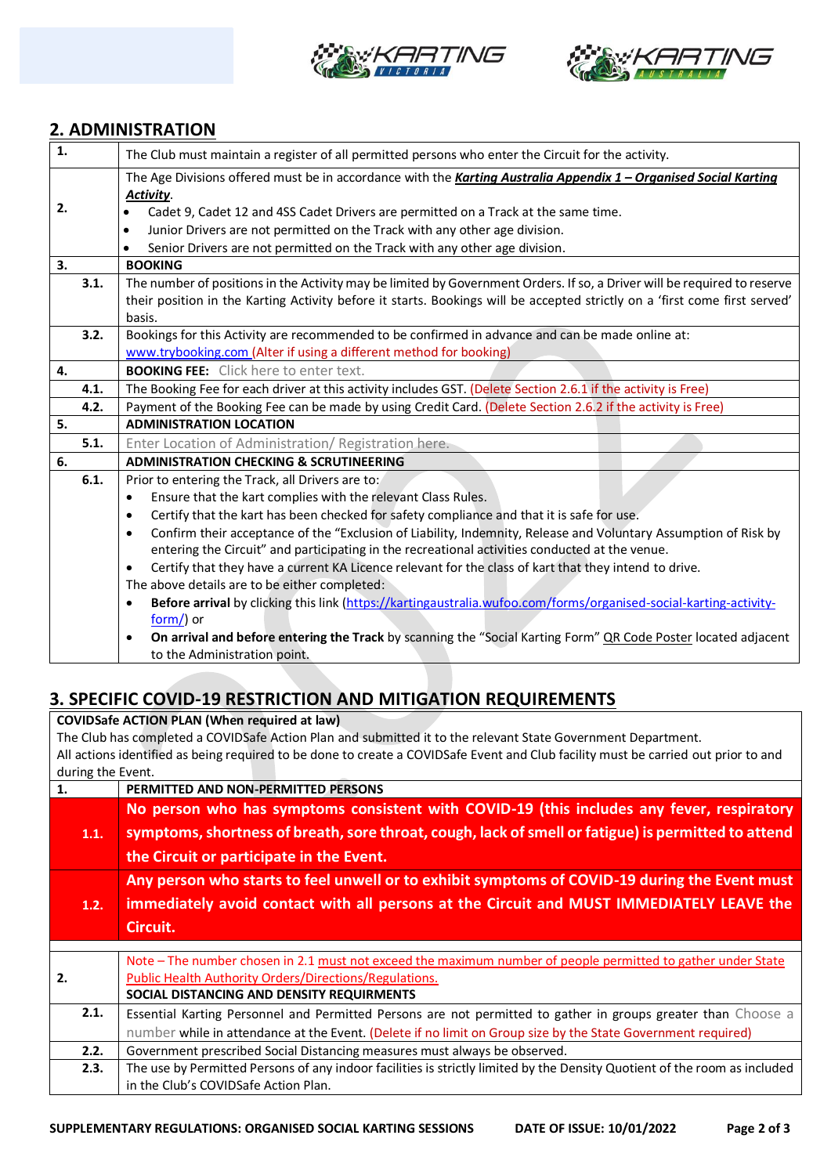



## **2. ADMINISTRATION**

| $\mathbf{1}$ |      | The Club must maintain a register of all permitted persons who enter the Circuit for the activity.                           |  |  |  |
|--------------|------|------------------------------------------------------------------------------------------------------------------------------|--|--|--|
|              |      | The Age Divisions offered must be in accordance with the Karting Australia Appendix 1 - Organised Social Karting             |  |  |  |
|              |      | Activity.                                                                                                                    |  |  |  |
| 2.           |      | Cadet 9, Cadet 12 and 4SS Cadet Drivers are permitted on a Track at the same time.                                           |  |  |  |
|              |      | Junior Drivers are not permitted on the Track with any other age division.<br>$\bullet$                                      |  |  |  |
|              |      | Senior Drivers are not permitted on the Track with any other age division.                                                   |  |  |  |
| 3.           |      | <b>BOOKING</b>                                                                                                               |  |  |  |
|              | 3.1. | The number of positions in the Activity may be limited by Government Orders. If so, a Driver will be required to reserve     |  |  |  |
|              |      | their position in the Karting Activity before it starts. Bookings will be accepted strictly on a 'first come first served'   |  |  |  |
|              |      | basis.                                                                                                                       |  |  |  |
|              | 3.2. | Bookings for this Activity are recommended to be confirmed in advance and can be made online at:                             |  |  |  |
|              |      | www.trybooking.com (Alter if using a different method for booking)                                                           |  |  |  |
| 4.           |      | <b>BOOKING FEE:</b> Click here to enter text.                                                                                |  |  |  |
|              | 4.1. | The Booking Fee for each driver at this activity includes GST. (Delete Section 2.6.1 if the activity is Free)                |  |  |  |
|              | 4.2. | Payment of the Booking Fee can be made by using Credit Card. (Delete Section 2.6.2 if the activity is Free)                  |  |  |  |
| 5.           |      | <b>ADMINISTRATION LOCATION</b>                                                                                               |  |  |  |
|              | 5.1. | Enter Location of Administration/ Registration here.                                                                         |  |  |  |
| 6.           |      | <b>ADMINISTRATION CHECKING &amp; SCRUTINEERING</b>                                                                           |  |  |  |
|              | 6.1. | Prior to entering the Track, all Drivers are to:                                                                             |  |  |  |
|              |      | Ensure that the kart complies with the relevant Class Rules.<br>$\bullet$                                                    |  |  |  |
|              |      | Certify that the kart has been checked for safety compliance and that it is safe for use.<br>$\bullet$                       |  |  |  |
|              |      | Confirm their acceptance of the "Exclusion of Liability, Indemnity, Release and Voluntary Assumption of Risk by<br>$\bullet$ |  |  |  |
|              |      | entering the Circuit" and participating in the recreational activities conducted at the venue.                               |  |  |  |
|              |      | Certify that they have a current KA Licence relevant for the class of kart that they intend to drive.                        |  |  |  |
|              |      | The above details are to be either completed:                                                                                |  |  |  |
|              |      | Before arrival by clicking this link (https://kartingaustralia.wufoo.com/forms/organised-social-karting-activity-            |  |  |  |
|              |      | $form$ ) or                                                                                                                  |  |  |  |
|              |      | On arrival and before entering the Track by scanning the "Social Karting Form" QR Code Poster located adjacent               |  |  |  |
|              |      | to the Administration point.                                                                                                 |  |  |  |

## **3. SPECIFIC COVID-19 RESTRICTION AND MITIGATION REQUIREMENTS**

**COVIDSafe ACTION PLAN (When required at law)** The Club has completed a COVIDSafe Action Plan and submitted it to the relevant State Government Department. All actions identified as being required to be done to create a COVIDSafe Event and Club facility must be carried out prior to and during the Event.<br>1. PERN **1. PERMITTED AND NON-PERMITTED PERSONS**

| 1.1. | No person who has symptoms consistent with COVID-19 (this includes any fever, respiratory<br>symptoms, shortness of breath, sore throat, cough, lack of smell or fatigue) is permitted to attend<br>the Circuit or participate in the Event. |
|------|----------------------------------------------------------------------------------------------------------------------------------------------------------------------------------------------------------------------------------------------|
| 1.2. | Any person who starts to feel unwell or to exhibit symptoms of COVID-19 during the Event must<br>immediately avoid contact with all persons at the Circuit and MUST IMMEDIATELY LEAVE the<br>Circuit.                                        |
|      |                                                                                                                                                                                                                                              |
|      | Note - The number chosen in 2.1 must not exceed the maximum number of people permitted to gather under State                                                                                                                                 |
| 2.   | Public Health Authority Orders/Directions/Regulations.                                                                                                                                                                                       |
|      | SOCIAL DISTANCING AND DENSITY REQUIRMENTS                                                                                                                                                                                                    |
| 2.1. | Essential Karting Personnel and Permitted Persons are not permitted to gather in groups greater than Choose a                                                                                                                                |
|      | number while in attendance at the Event. (Delete if no limit on Group size by the State Government required)                                                                                                                                 |
| 2.2. | Government prescribed Social Distancing measures must always be observed.                                                                                                                                                                    |
| 2.3. | The use by Permitted Persons of any indoor facilities is strictly limited by the Density Quotient of the room as included                                                                                                                    |
|      | in the Club's COVIDSafe Action Plan.                                                                                                                                                                                                         |